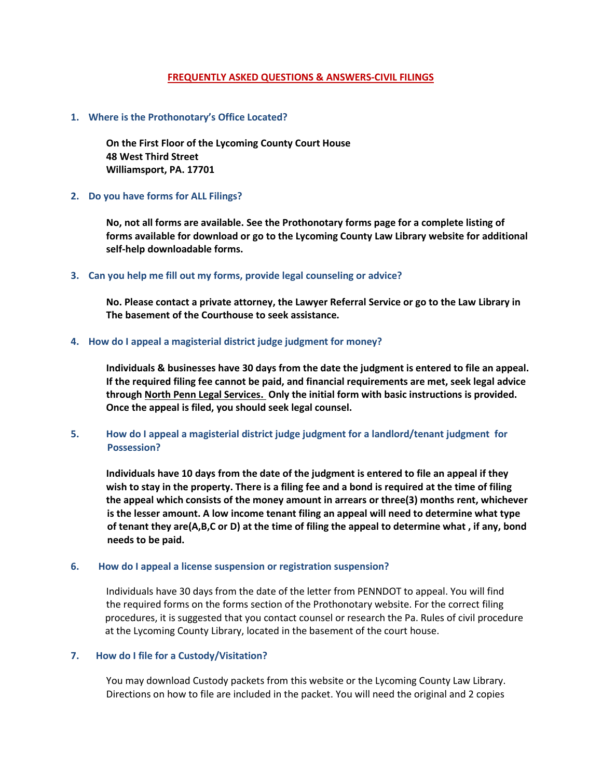# **FREQUENTLY ASKED QUESTIONS & ANSWERS-CIVIL FILINGS**

## **1. Where is the Prothonotary's Office Located?**

**On the First Floor of the Lycoming County Court House 48 West Third Street Williamsport, PA. 17701**

# **2. Do you have forms for ALL Filings?**

**No, not all forms are available. See the Prothonotary forms page for a complete listing of forms available for download or go to the Lycoming County Law Library website for additional self-help downloadable forms.**

### **3. Can you help me fill out my forms, provide legal counseling or advice?**

**No. Please contact a private attorney, the Lawyer Referral Service or go to the Law Library in The basement of the Courthouse to seek assistance.**

### **4. How do I appeal a magisterial district judge judgment for money?**

**Individuals & businesses have 30 days from the date the judgment is entered to file an appeal. If the required filing fee cannot be paid, and financial requirements are met, seek legal advice through North Penn Legal Services. Only the initial form with basic instructions is provided. Once the appeal is filed, you should seek legal counsel.**

# **5. How do I appeal a magisterial district judge judgment for a landlord/tenant judgment for Possession?**

**Individuals have 10 days from the date of the judgment is entered to file an appeal if they wish to stay in the property. There is a filing fee and a bond is required at the time of filing the appeal which consists of the money amount in arrears or three(3) months rent, whichever is the lesser amount. A low income tenant filing an appeal will need to determine what type of tenant they are(A,B,C or D) at the time of filing the appeal to determine what , if any, bond needs to be paid.**

# **6. How do I appeal a license suspension or registration suspension?**

Individuals have 30 days from the date of the letter from PENNDOT to appeal. You will find the required forms on the forms section of the Prothonotary website. For the correct filing procedures, it is suggested that you contact counsel or research the Pa. Rules of civil procedure at the Lycoming County Library, located in the basement of the court house.

# **7. How do I file for a Custody/Visitation?**

You may download Custody packets from this website or the Lycoming County Law Library. Directions on how to file are included in the packet. You will need the original and 2 copies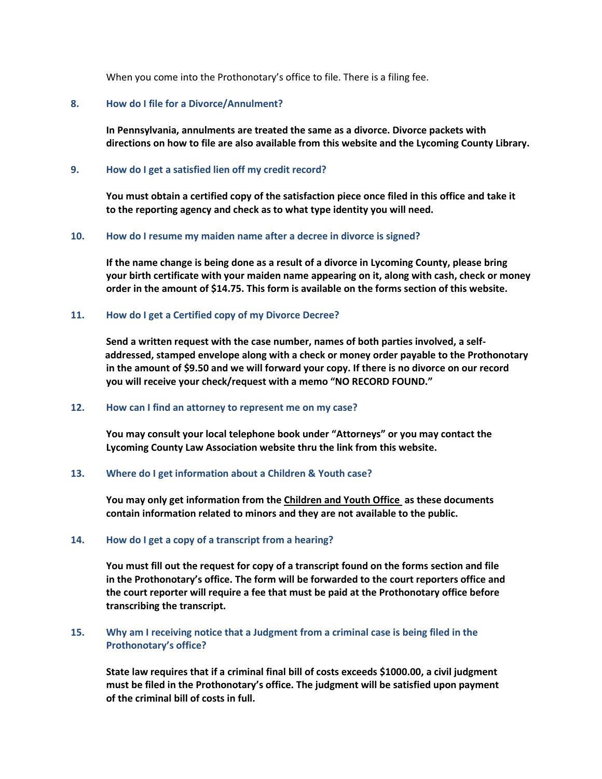When you come into the Prothonotary's office to file. There is a filing fee.

### **8. How do I file for a Divorce/Annulment?**

**In Pennsylvania, annulments are treated the same as a divorce. Divorce packets with directions on how to file are also available from this website and the Lycoming County Library.**

## **9. How do I get a satisfied lien off my credit record?**

**You must obtain a certified copy of the satisfaction piece once filed in this office and take it to the reporting agency and check as to what type identity you will need.**

#### **10. How do I resume my maiden name after a decree in divorce is signed?**

**If the name change is being done as a result of a divorce in Lycoming County, please bring your birth certificate with your maiden name appearing on it, along with cash, check or money order in the amount of \$14.75. This form is available on the forms section of this website.**

### **11. How do I get a Certified copy of my Divorce Decree?**

**Send a written request with the case number, names of both parties involved, a self addressed, stamped envelope along with a check or money order payable to the Prothonotary in the amount of \$9.50 and we will forward your copy. If there is no divorce on our record you will receive your check/request with a memo "NO RECORD FOUND."**

#### **12. How can I find an attorney to represent me on my case?**

**You may consult your local telephone book under "Attorneys" or you may contact the Lycoming County Law Association website thru the link from this website.**

#### **13. Where do I get information about a Children & Youth case?**

**You may only get information from the Children and Youth Office as these documents contain information related to minors and they are not available to the public.**

#### **14. How do I get a copy of a transcript from a hearing?**

**You must fill out the request for copy of a transcript found on the forms section and file in the Prothonotary's office. The form will be forwarded to the court reporters office and the court reporter will require a fee that must be paid at the Prothonotary office before transcribing the transcript.**

# **15. Why am I receiving notice that a Judgment from a criminal case is being filed in the Prothonotary's office?**

**State law requires that if a criminal final bill of costs exceeds \$1000.00, a civil judgment must be filed in the Prothonotary's office. The judgment will be satisfied upon payment of the criminal bill of costs in full.**